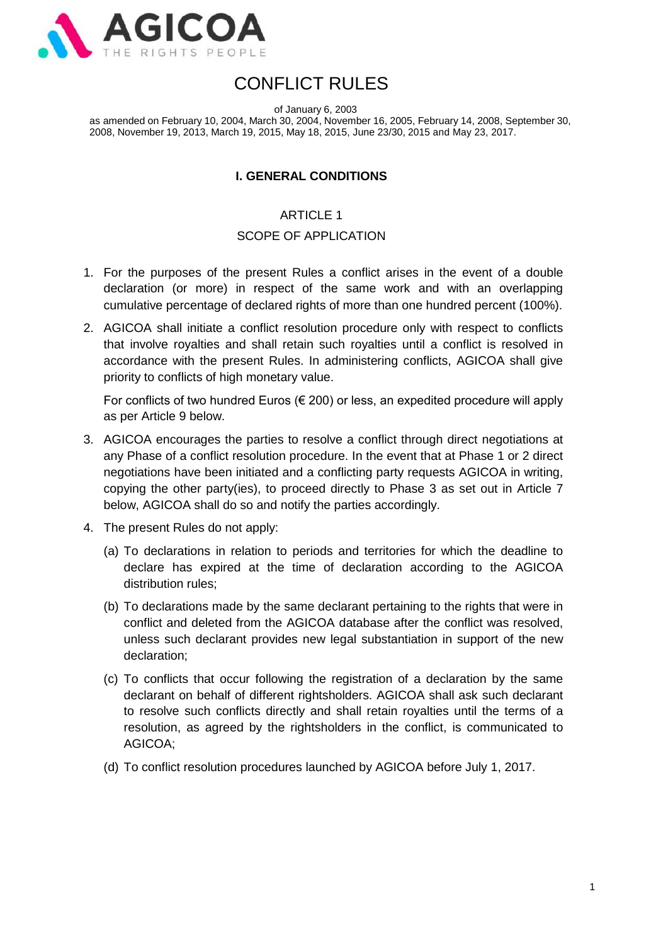

# CONFLICT RULES

of January 6, 2003

as amended on February 10, 2004, March 30, 2004, November 16, 2005, February 14, 2008, September 30, 2008, November 19, 2013, March 19, 2015, May 18, 2015, June 23/30, 2015 and May 23, 2017.

## **I. GENERAL CONDITIONS**

## ARTICLE 1

## SCOPE OF APPLICATION

- 1. For the purposes of the present Rules a conflict arises in the event of a double declaration (or more) in respect of the same work and with an overlapping cumulative percentage of declared rights of more than one hundred percent (100%).
- 2. AGICOA shall initiate a conflict resolution procedure only with respect to conflicts that involve royalties and shall retain such royalties until a conflict is resolved in accordance with the present Rules. In administering conflicts, AGICOA shall give priority to conflicts of high monetary value.

For conflicts of two hundred Euros  $(\epsilon 200)$  or less, an expedited procedure will apply as per Article 9 below.

- 3. AGICOA encourages the parties to resolve a conflict through direct negotiations at any Phase of a conflict resolution procedure. In the event that at Phase 1 or 2 direct negotiations have been initiated and a conflicting party requests AGICOA in writing, copying the other party(ies), to proceed directly to Phase 3 as set out in Article 7 below, AGICOA shall do so and notify the parties accordingly.
- 4. The present Rules do not apply:
	- (a) To declarations in relation to periods and territories for which the deadline to declare has expired at the time of declaration according to the AGICOA distribution rules;
	- (b) To declarations made by the same declarant pertaining to the rights that were in conflict and deleted from the AGICOA database after the conflict was resolved, unless such declarant provides new legal substantiation in support of the new declaration;
	- (c) To conflicts that occur following the registration of a declaration by the same declarant on behalf of different rightsholders. AGICOA shall ask such declarant to resolve such conflicts directly and shall retain royalties until the terms of a resolution, as agreed by the rightsholders in the conflict, is communicated to AGICOA;
	- (d) To conflict resolution procedures launched by AGICOA before July 1, 2017.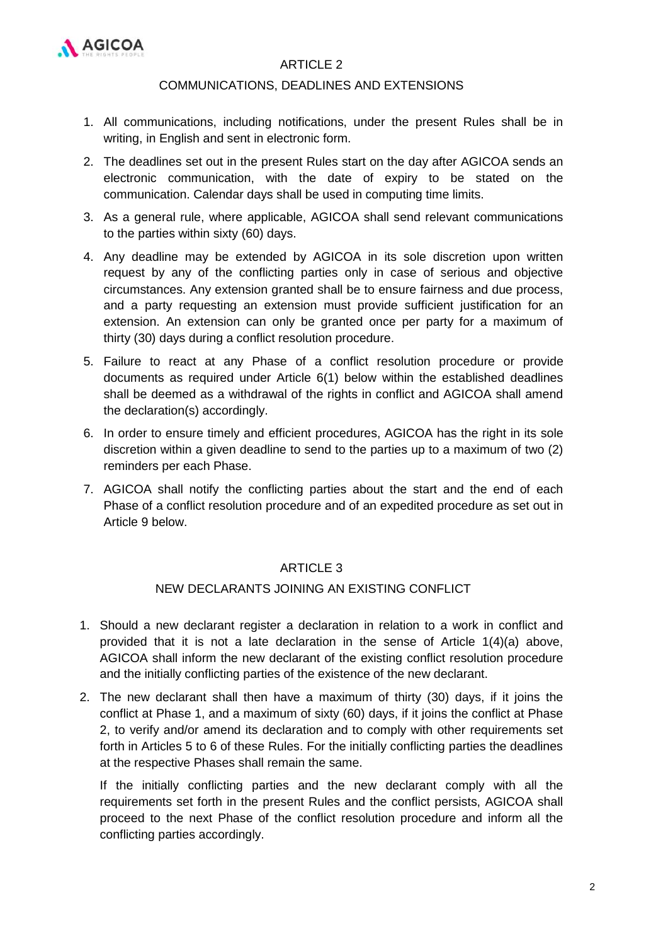

## ARTICLE 2

#### COMMUNICATIONS, DEADLINES AND EXTENSIONS

- 1. All communications, including notifications, under the present Rules shall be in writing, in English and sent in electronic form.
- 2. The deadlines set out in the present Rules start on the day after AGICOA sends an electronic communication, with the date of expiry to be stated on the communication. Calendar days shall be used in computing time limits.
- 3. As a general rule, where applicable, AGICOA shall send relevant communications to the parties within sixty (60) days.
- 4. Any deadline may be extended by AGICOA in its sole discretion upon written request by any of the conflicting parties only in case of serious and objective circumstances. Any extension granted shall be to ensure fairness and due process, and a party requesting an extension must provide sufficient justification for an extension. An extension can only be granted once per party for a maximum of thirty (30) days during a conflict resolution procedure.
- 5. Failure to react at any Phase of a conflict resolution procedure or provide documents as required under Article 6(1) below within the established deadlines shall be deemed as a withdrawal of the rights in conflict and AGICOA shall amend the declaration(s) accordingly.
- 6. In order to ensure timely and efficient procedures, AGICOA has the right in its sole discretion within a given deadline to send to the parties up to a maximum of two (2) reminders per each Phase.
- 7. AGICOA shall notify the conflicting parties about the start and the end of each Phase of a conflict resolution procedure and of an expedited procedure as set out in Article 9 below.

#### ARTICLE 3

## NEW DECLARANTS JOINING AN EXISTING CONFLICT

- 1. Should a new declarant register a declaration in relation to a work in conflict and provided that it is not a late declaration in the sense of Article 1(4)(a) above, AGICOA shall inform the new declarant of the existing conflict resolution procedure and the initially conflicting parties of the existence of the new declarant.
- 2. The new declarant shall then have a maximum of thirty (30) days, if it joins the conflict at Phase 1, and a maximum of sixty (60) days, if it joins the conflict at Phase 2, to verify and/or amend its declaration and to comply with other requirements set forth in Articles 5 to 6 of these Rules. For the initially conflicting parties the deadlines at the respective Phases shall remain the same.

If the initially conflicting parties and the new declarant comply with all the requirements set forth in the present Rules and the conflict persists, AGICOA shall proceed to the next Phase of the conflict resolution procedure and inform all the conflicting parties accordingly.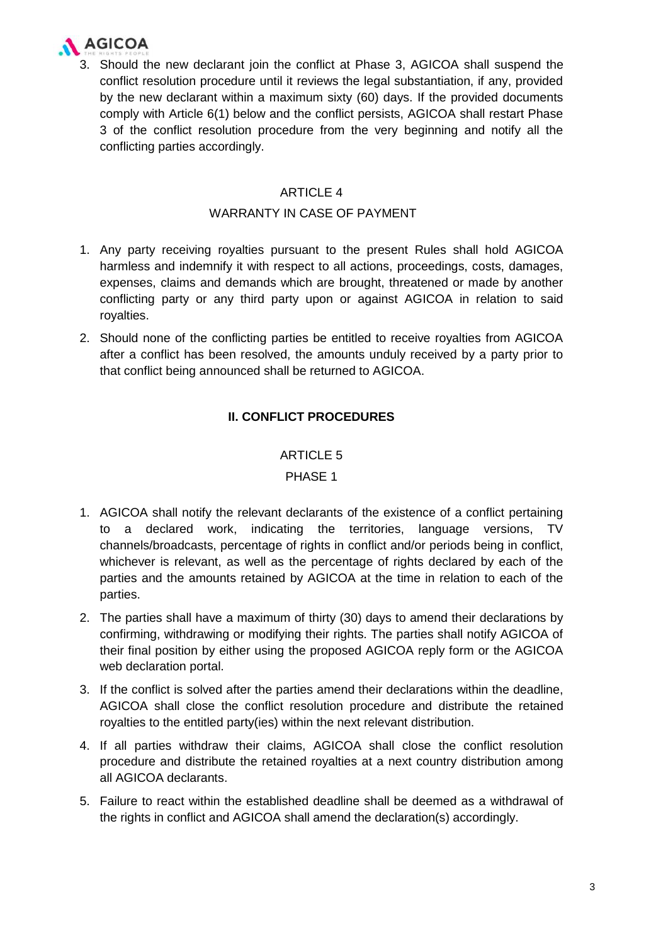

3. Should the new declarant join the conflict at Phase 3, AGICOA shall suspend the conflict resolution procedure until it reviews the legal substantiation, if any, provided by the new declarant within a maximum sixty (60) days. If the provided documents comply with Article 6(1) below and the conflict persists, AGICOA shall restart Phase 3 of the conflict resolution procedure from the very beginning and notify all the conflicting parties accordingly.

## ARTICLE 4

#### WARRANTY IN CASE OF PAYMENT

- 1. Any party receiving royalties pursuant to the present Rules shall hold AGICOA harmless and indemnify it with respect to all actions, proceedings, costs, damages, expenses, claims and demands which are brought, threatened or made by another conflicting party or any third party upon or against AGICOA in relation to said royalties.
- 2. Should none of the conflicting parties be entitled to receive royalties from AGICOA after a conflict has been resolved, the amounts unduly received by a party prior to that conflict being announced shall be returned to AGICOA.

## **II. CONFLICT PROCEDURES**

## ARTICLE 5

## PHASE 1

- 1. AGICOA shall notify the relevant declarants of the existence of a conflict pertaining to a declared work, indicating the territories, language versions, TV channels/broadcasts, percentage of rights in conflict and/or periods being in conflict, whichever is relevant, as well as the percentage of rights declared by each of the parties and the amounts retained by AGICOA at the time in relation to each of the parties.
- 2. The parties shall have a maximum of thirty (30) days to amend their declarations by confirming, withdrawing or modifying their rights. The parties shall notify AGICOA of their final position by either using the proposed AGICOA reply form or the AGICOA web declaration portal.
- 3. If the conflict is solved after the parties amend their declarations within the deadline, AGICOA shall close the conflict resolution procedure and distribute the retained royalties to the entitled party(ies) within the next relevant distribution.
- 4. If all parties withdraw their claims, AGICOA shall close the conflict resolution procedure and distribute the retained royalties at a next country distribution among all AGICOA declarants.
- 5. Failure to react within the established deadline shall be deemed as a withdrawal of the rights in conflict and AGICOA shall amend the declaration(s) accordingly.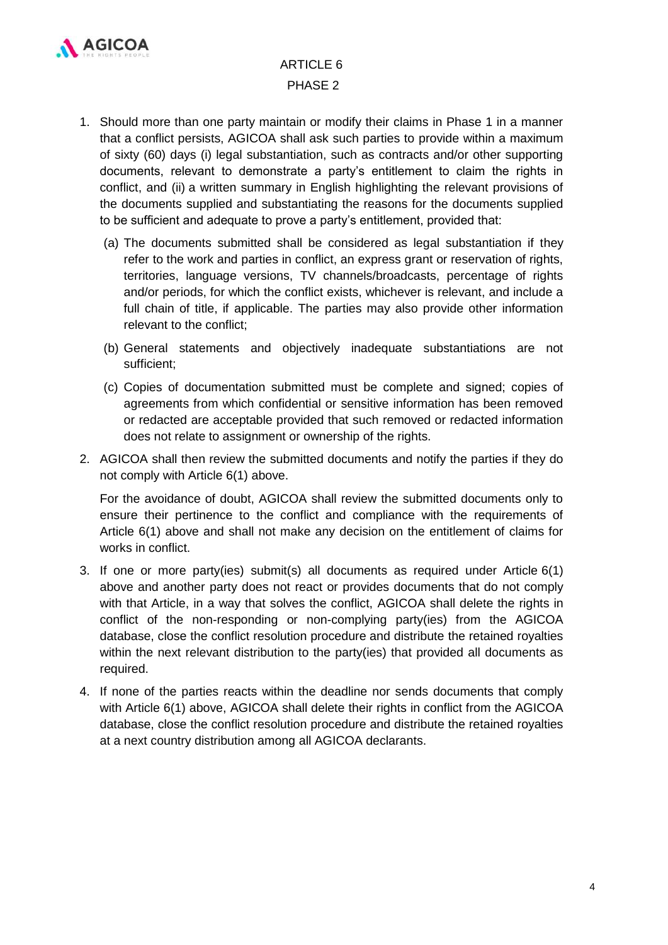

## ARTICLE 6 PHASE 2

- 1. Should more than one party maintain or modify their claims in Phase 1 in a manner that a conflict persists, AGICOA shall ask such parties to provide within a maximum of sixty (60) days (i) legal substantiation, such as contracts and/or other supporting documents, relevant to demonstrate a party's entitlement to claim the rights in conflict, and (ii) a written summary in English highlighting the relevant provisions of the documents supplied and substantiating the reasons for the documents supplied to be sufficient and adequate to prove a party's entitlement, provided that:
	- (a) The documents submitted shall be considered as legal substantiation if they refer to the work and parties in conflict, an express grant or reservation of rights, territories, language versions, TV channels/broadcasts, percentage of rights and/or periods, for which the conflict exists, whichever is relevant, and include a full chain of title, if applicable. The parties may also provide other information relevant to the conflict;
	- (b) General statements and objectively inadequate substantiations are not sufficient;
	- (c) Copies of documentation submitted must be complete and signed; copies of agreements from which confidential or sensitive information has been removed or redacted are acceptable provided that such removed or redacted information does not relate to assignment or ownership of the rights.
- 2. AGICOA shall then review the submitted documents and notify the parties if they do not comply with Article 6(1) above.

For the avoidance of doubt, AGICOA shall review the submitted documents only to ensure their pertinence to the conflict and compliance with the requirements of Article 6(1) above and shall not make any decision on the entitlement of claims for works in conflict.

- 3. If one or more party(ies) submit(s) all documents as required under Article 6(1) above and another party does not react or provides documents that do not comply with that Article, in a way that solves the conflict, AGICOA shall delete the rights in conflict of the non-responding or non-complying party(ies) from the AGICOA database, close the conflict resolution procedure and distribute the retained royalties within the next relevant distribution to the party(ies) that provided all documents as required.
- 4. If none of the parties reacts within the deadline nor sends documents that comply with Article 6(1) above, AGICOA shall delete their rights in conflict from the AGICOA database, close the conflict resolution procedure and distribute the retained royalties at a next country distribution among all AGICOA declarants.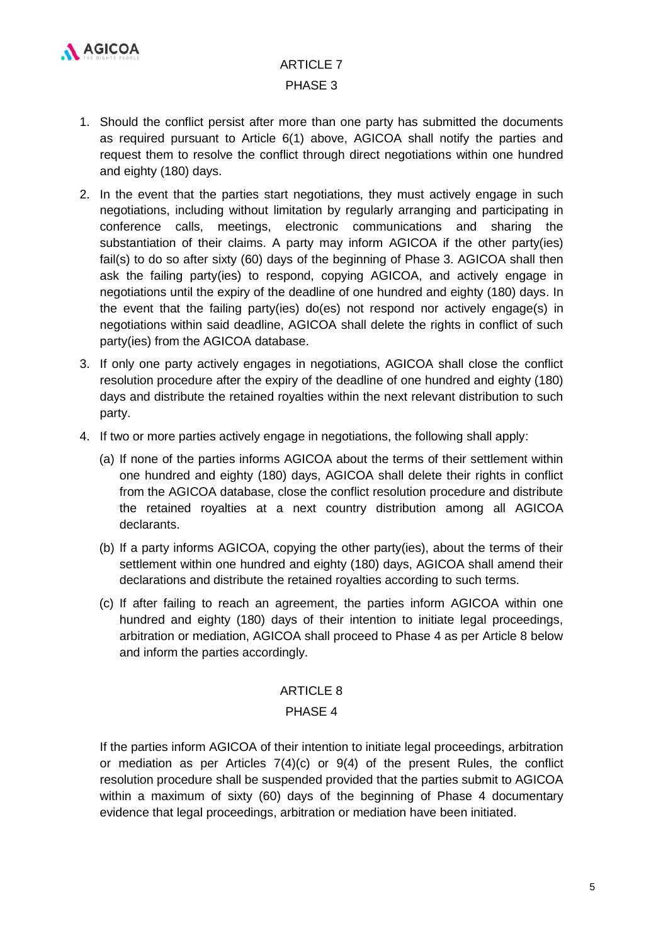

# ARTICLE 7 PHASE 3

- 1. Should the conflict persist after more than one party has submitted the documents as required pursuant to Article 6(1) above, AGICOA shall notify the parties and request them to resolve the conflict through direct negotiations within one hundred and eighty (180) days.
- 2. In the event that the parties start negotiations, they must actively engage in such negotiations, including without limitation by regularly arranging and participating in conference calls, meetings, electronic communications and sharing the substantiation of their claims. A party may inform AGICOA if the other party(ies) fail(s) to do so after sixty (60) days of the beginning of Phase 3. AGICOA shall then ask the failing party(ies) to respond, copying AGICOA, and actively engage in negotiations until the expiry of the deadline of one hundred and eighty (180) days. In the event that the failing party(ies) do(es) not respond nor actively engage(s) in negotiations within said deadline, AGICOA shall delete the rights in conflict of such party(ies) from the AGICOA database.
- 3. If only one party actively engages in negotiations, AGICOA shall close the conflict resolution procedure after the expiry of the deadline of one hundred and eighty (180) days and distribute the retained royalties within the next relevant distribution to such party.
- 4. If two or more parties actively engage in negotiations, the following shall apply:
	- (a) If none of the parties informs AGICOA about the terms of their settlement within one hundred and eighty (180) days, AGICOA shall delete their rights in conflict from the AGICOA database, close the conflict resolution procedure and distribute the retained royalties at a next country distribution among all AGICOA declarants.
	- (b) If a party informs AGICOA, copying the other party(ies), about the terms of their settlement within one hundred and eighty (180) days, AGICOA shall amend their declarations and distribute the retained royalties according to such terms.
	- (c) If after failing to reach an agreement, the parties inform AGICOA within one hundred and eighty (180) days of their intention to initiate legal proceedings, arbitration or mediation, AGICOA shall proceed to Phase 4 as per Article 8 below and inform the parties accordingly.

## ARTICLE 8

## PHASE 4

If the parties inform AGICOA of their intention to initiate legal proceedings, arbitration or mediation as per Articles 7(4)(c) or 9(4) of the present Rules, the conflict resolution procedure shall be suspended provided that the parties submit to AGICOA within a maximum of sixty (60) days of the beginning of Phase 4 documentary evidence that legal proceedings, arbitration or mediation have been initiated.